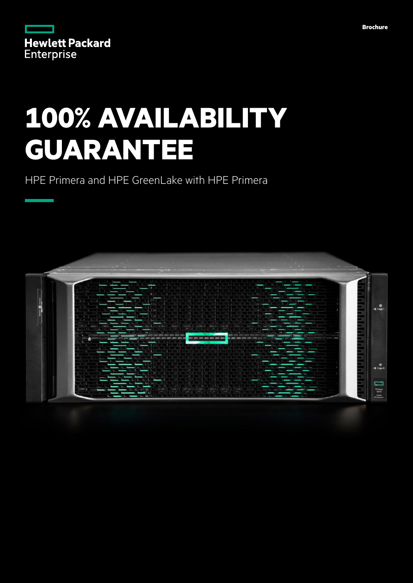|                   | <b>Hewlett Packard</b> |
|-------------------|------------------------|
| <b>Enterprise</b> |                        |

# **100% AVAILABILITY GUARANTEE**

HPE Primera and HPE GreenLake with HPE Primera

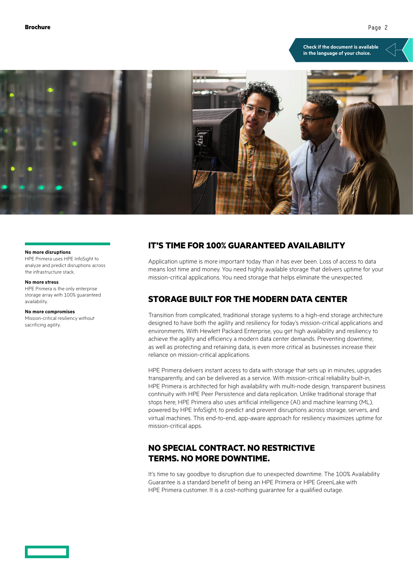**[Check if the document is available](https://psnow.ext.hpe.com/collection-resources/a00074521ENW)  in the language of your choice.**



#### **No more disruptions**

HPE Primera uses HPE InfoSight to analyze and predict disruptions across the infrastructure stack.

#### **No more stress**

HPE Primera is the only enterprise storage array with 100% guaranteed availability.

#### **No more compromises**

Mission-critical resiliency without sacrificing agility.

## **IT'S TIME FOR 100% GUARANTEED AVAILABILITY**

Application uptime is more important today than it has ever been. Loss of access to data means lost time and money. You need highly available storage that delivers uptime for your mission-critical applications. You need storage that helps eliminate the unexpected.

# **STORAGE BUILT FOR THE MODERN DATA CENTER**

Transition from complicated, traditional storage systems to a high-end storage architecture designed to have both the agility and resiliency for today's mission-critical applications and environments. With Hewlett Packard Enterprise, you get high availability and resiliency to achieve the agility and efficiency a modern data center demands. Preventing downtime, as well as protecting and retaining data, is even more critical as businesses increase their reliance on mission-critical applications.

HPE Primera delivers instant access to data with storage that sets up in minutes, upgrades transparently, and can be delivered as a service. With mission-critical reliability built-in, HPE Primera is architected for high availability with multi-node design, transparent business continuity with HPE Peer Persistence and data replication. Unlike traditional storage that stops here, HPE Primera also uses artificial intelligence (AI) and machine learning (ML), powered by HPE InfoSight, to predict and prevent disruptions across storage, servers, and virtual machines. This end-to-end, app-aware approach for resiliency maximizes uptime for mission-critical apps.

# **NO SPECIAL CONTRACT. NO RESTRICTIVE TERMS. NO MORE DOWNTIME.**

It's time to say goodbye to disruption due to unexpected downtime. The 100% Availability Guarantee is a standard benefit of being an HPE Primera or HPE GreenLake with HPE Primera customer. It is a cost-nothing guarantee for a qualified outage.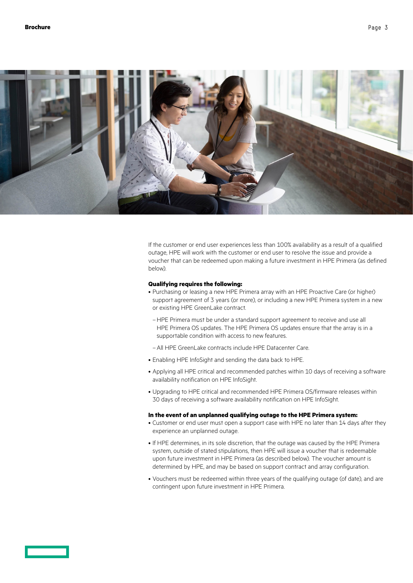

If the customer or end user experiences less than 100% availability as a result of a qualified outage, HPE will work with the customer or end user to resolve the issue and provide a voucher that can be redeemed upon making a future investment in HPE Primera (as defined below).

## **Qualifying requires the following:**

- Purchasing or leasing a new HPE Primera array with an HPE Proactive Care (or higher) support agreement of 3 years (or more), or including a new HPE Primera system in a new or existing HPE GreenLake contract.
	- –HPE Primera must be under a standard support agreement to receive and use all HPE Primera OS updates. The HPE Primera OS updates ensure that the array is in a supportable condition with access to new features.
	- –All HPE GreenLake contracts include HPE Datacenter Care.
- Enabling HPE InfoSight and sending the data back to HPE.
- Applying all HPE critical and recommended patches within 10 days of receiving a software availability notification on HPE InfoSight.
- Upgrading to HPE critical and recommended HPE Primera OS/firmware releases within 30 days of receiving a software availability notification on HPE InfoSight.

### **In the event of an unplanned qualifying outage to the HPE Primera system:**

- Customer or end user must open a support case with HPE no later than 14 days after they experience an unplanned outage.
- If HPE determines, in its sole discretion, that the outage was caused by the HPE Primera system, outside of stated stipulations, then HPE will issue a voucher that is redeemable upon future investment in HPE Primera (as described below). The voucher amount is determined by HPE, and may be based on support contract and array configuration.
- Vouchers must be redeemed within three years of the qualifying outage (of date), and are contingent upon future investment in HPE Primera.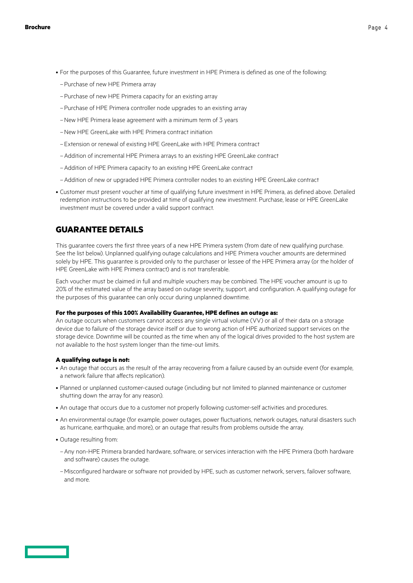- For the purposes of this Guarantee, future investment in HPE Primera is defined as one of the following:
	- –Purchase of new HPE Primera array
	- –Purchase of new HPE Primera capacity for an existing array
	- –Purchase of HPE Primera controller node upgrades to an existing array
	- –New HPE Primera lease agreement with a minimum term of 3 years
	- –New HPE GreenLake with HPE Primera contract initiation
	- –Extension or renewal of existing HPE GreenLake with HPE Primera contract
	- –Addition of incremental HPE Primera arrays to an existing HPE GreenLake contract
	- –Addition of HPE Primera capacity to an existing HPE GreenLake contract
	- –Addition of new or upgraded HPE Primera controller nodes to an existing HPE GreenLake contract
- Customer must present voucher at time of qualifying future investment in HPE Primera, as defined above. Detailed redemption instructions to be provided at time of qualifying new investment. Purchase, lease or HPE GreenLake investment must be covered under a valid support contract.

## **GUARANTEE DETAILS**

This guarantee covers the first three years of a new HPE Primera system (from date of new qualifying purchase. See the list below). Unplanned qualifying outage calculations and HPE Primera voucher amounts are determined solely by HPE. This guarantee is provided only to the purchaser or lessee of the HPE Primera array (or the holder of HPE GreenLake with HPE Primera contract) and is not transferable.

Each voucher must be claimed in full and multiple vouchers may be combined. The HPE voucher amount is up to 20% of the estimated value of the array based on outage severity, support, and configuration. A qualifying outage for the purposes of this guarantee can only occur during unplanned downtime.

### **For the purposes of this 100% Availability Guarantee, HPE defines an outage as:**

An outage occurs when customers cannot access any single virtual volume (VV) or all of their data on a storage device due to failure of the storage device itself or due to wrong action of HPE authorized support services on the storage device. Downtime will be counted as the time when any of the logical drives provided to the host system are not available to the host system longer than the time-out limits.

## **A qualifying outage is not:**

- An outage that occurs as the result of the array recovering from a failure caused by an outside event (for example, a network failure that affects replication).
- Planned or unplanned customer-caused outage (including but not limited to planned maintenance or customer shutting down the array for any reason).
- An outage that occurs due to a customer not properly following customer-self activities and procedures.
- An environmental outage (for example, power outages, power fluctuations, network outages, natural disasters such as hurricane, earthquake, and more), or an outage that results from problems outside the array.
- Outage resulting from:
- –Any non-HPE Primera branded hardware, software, or services interaction with the HPE Primera (both hardware and software) causes the outage.
- –Misconfigured hardware or software not provided by HPE, such as customer network, servers, failover software, and more.